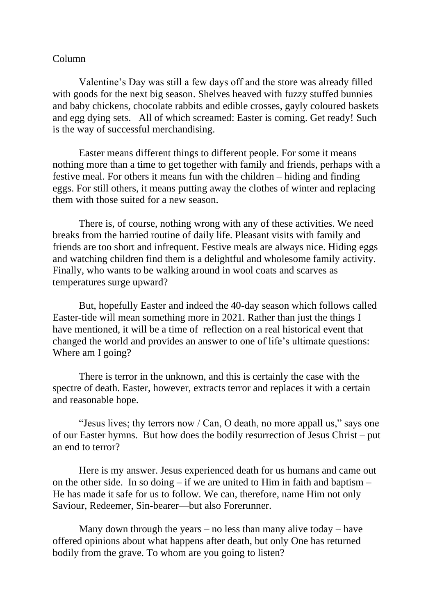## Column

Valentine's Day was still a few days off and the store was already filled with goods for the next big season. Shelves heaved with fuzzy stuffed bunnies and baby chickens, chocolate rabbits and edible crosses, gayly coloured baskets and egg dying sets. All of which screamed: Easter is coming. Get ready! Such is the way of successful merchandising.

Easter means different things to different people. For some it means nothing more than a time to get together with family and friends, perhaps with a festive meal. For others it means fun with the children – hiding and finding eggs. For still others, it means putting away the clothes of winter and replacing them with those suited for a new season.

There is, of course, nothing wrong with any of these activities. We need breaks from the harried routine of daily life. Pleasant visits with family and friends are too short and infrequent. Festive meals are always nice. Hiding eggs and watching children find them is a delightful and wholesome family activity. Finally, who wants to be walking around in wool coats and scarves as temperatures surge upward?

But, hopefully Easter and indeed the 40-day season which follows called Easter-tide will mean something more in 2021. Rather than just the things I have mentioned, it will be a time of reflection on a real historical event that changed the world and provides an answer to one of life's ultimate questions: Where am I going?

There is terror in the unknown, and this is certainly the case with the spectre of death. Easter, however, extracts terror and replaces it with a certain and reasonable hope.

"Jesus lives; thy terrors now / Can, O death, no more appall us," says one of our Easter hymns. But how does the bodily resurrection of Jesus Christ – put an end to terror?

Here is my answer. Jesus experienced death for us humans and came out on the other side. In so doing  $-$  if we are united to Him in faith and baptism  $-$ He has made it safe for us to follow. We can, therefore, name Him not only Saviour, Redeemer, Sin-bearer—but also Forerunner.

Many down through the years – no less than many alive today – have offered opinions about what happens after death, but only One has returned bodily from the grave. To whom are you going to listen?